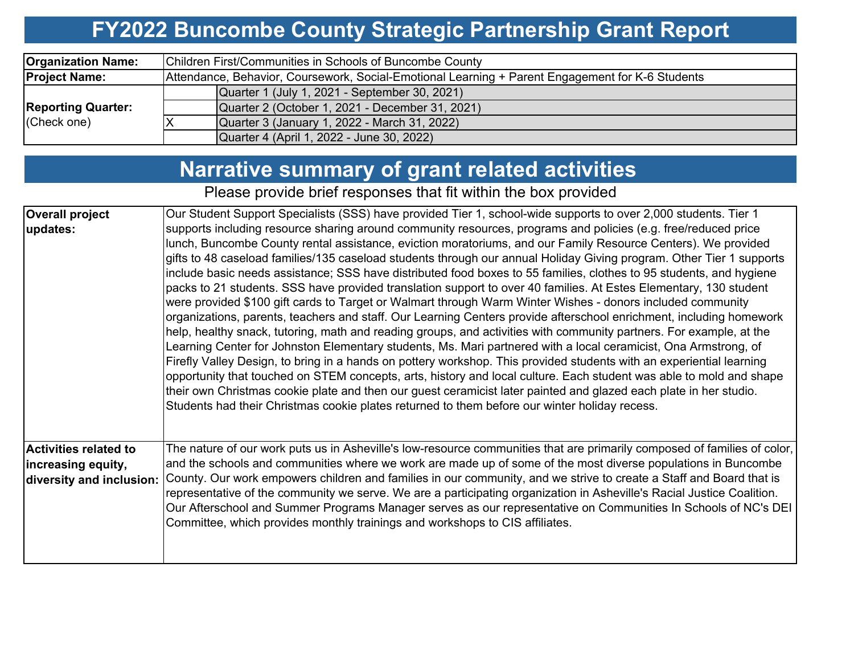## **FY2022 Buncombe County Strategic Partnership Grant Report**

| <b>Organization Name:</b> | Children First/Communities in Schools of Buncombe County                                         |  |  |  |  |  |  |
|---------------------------|--------------------------------------------------------------------------------------------------|--|--|--|--|--|--|
| <b>Project Name:</b>      | Attendance, Behavior, Coursework, Social-Emotional Learning + Parent Engagement for K-6 Students |  |  |  |  |  |  |
|                           | Quarter 1 (July 1, 2021 - September 30, 2021)                                                    |  |  |  |  |  |  |
| <b>Reporting Quarter:</b> | Quarter 2 (October 1, 2021 - December 31, 2021)                                                  |  |  |  |  |  |  |
| (Check one)               | Quarter 3 (January 1, 2022 - March 31, 2022)                                                     |  |  |  |  |  |  |
|                           | Quarter 4 (April 1, 2022 - June 30, 2022)                                                        |  |  |  |  |  |  |

# **Narrative summary of grant related activities**

Please provide brief responses that fit within the box provided

| <b>Overall project</b>                                                         | Our Student Support Specialists (SSS) have provided Tier 1, school-wide supports to over 2,000 students. Tier 1                                                                                                                                                                                                                                                                                                                                                                                                                                                                                                                                                                                                                                                                                                                                                                                                                                                                                                                                                                                                                                                                                                                                                                                                                                                                                                                                                                                                                                         |
|--------------------------------------------------------------------------------|---------------------------------------------------------------------------------------------------------------------------------------------------------------------------------------------------------------------------------------------------------------------------------------------------------------------------------------------------------------------------------------------------------------------------------------------------------------------------------------------------------------------------------------------------------------------------------------------------------------------------------------------------------------------------------------------------------------------------------------------------------------------------------------------------------------------------------------------------------------------------------------------------------------------------------------------------------------------------------------------------------------------------------------------------------------------------------------------------------------------------------------------------------------------------------------------------------------------------------------------------------------------------------------------------------------------------------------------------------------------------------------------------------------------------------------------------------------------------------------------------------------------------------------------------------|
| updates:                                                                       | supports including resource sharing around community resources, programs and policies (e.g. free/reduced price<br>lunch, Buncombe County rental assistance, eviction moratoriums, and our Family Resource Centers). We provided<br>gifts to 48 caseload families/135 caseload students through our annual Holiday Giving program. Other Tier 1 supports<br>include basic needs assistance; SSS have distributed food boxes to 55 families, clothes to 95 students, and hygiene<br>packs to 21 students. SSS have provided translation support to over 40 families. At Estes Elementary, 130 student<br>were provided \$100 gift cards to Target or Walmart through Warm Winter Wishes - donors included community<br>organizations, parents, teachers and staff. Our Learning Centers provide afterschool enrichment, including homework<br>help, healthy snack, tutoring, math and reading groups, and activities with community partners. For example, at the<br>Learning Center for Johnston Elementary students, Ms. Mari partnered with a local ceramicist, Ona Armstrong, of<br>Firefly Valley Design, to bring in a hands on pottery workshop. This provided students with an experiential learning<br>opportunity that touched on STEM concepts, arts, history and local culture. Each student was able to mold and shape<br>their own Christmas cookie plate and then our guest ceramicist later painted and glazed each plate in her studio.<br>Students had their Christmas cookie plates returned to them before our winter holiday recess. |
| <b>Activities related to</b><br>increasing equity,<br>diversity and inclusion: | The nature of our work puts us in Asheville's low-resource communities that are primarily composed of families of color,<br>and the schools and communities where we work are made up of some of the most diverse populations in Buncombe<br>County. Our work empowers children and families in our community, and we strive to create a Staff and Board that is<br>representative of the community we serve. We are a participating organization in Asheville's Racial Justice Coalition.<br>Our Afterschool and Summer Programs Manager serves as our representative on Communities In Schools of NC's DEI<br>Committee, which provides monthly trainings and workshops to CIS affiliates.                                                                                                                                                                                                                                                                                                                                                                                                                                                                                                                                                                                                                                                                                                                                                                                                                                                            |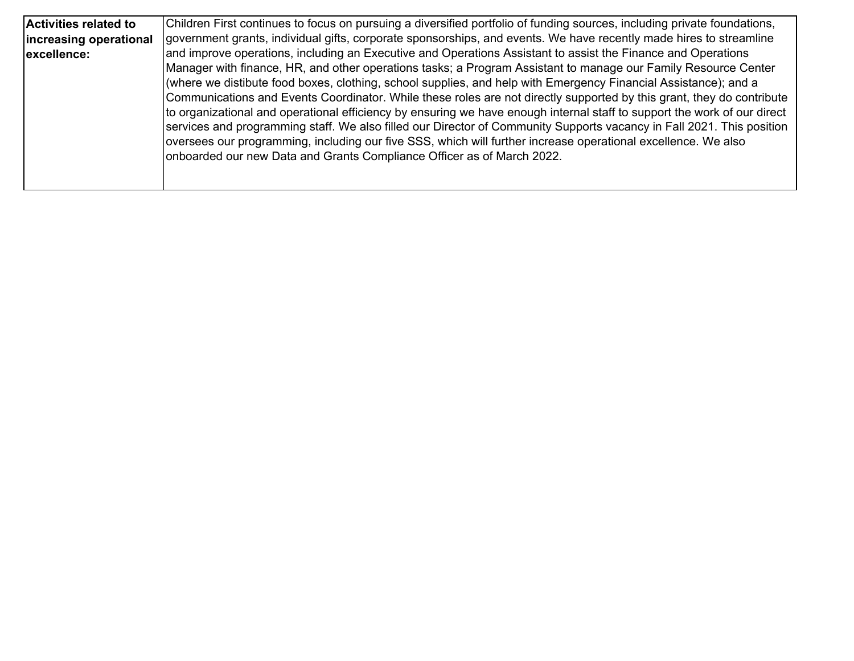| <b>Activities related to</b> | Children First continues to focus on pursuing a diversified portfolio of funding sources, including private foundations, |
|------------------------------|--------------------------------------------------------------------------------------------------------------------------|
| increasing operational       | government grants, individual gifts, corporate sponsorships, and events. We have recently made hires to streamline       |
| excellence:                  | and improve operations, including an Executive and Operations Assistant to assist the Finance and Operations             |
|                              | Manager with finance, HR, and other operations tasks; a Program Assistant to manage our Family Resource Center           |
|                              | (where we distibute food boxes, clothing, school supplies, and help with Emergency Financial Assistance); and a          |
|                              | Communications and Events Coordinator. While these roles are not directly supported by this grant, they do contribute    |
|                              | to organizational and operational efficiency by ensuring we have enough internal staff to support the work of our direct |
|                              | services and programming staff. We also filled our Director of Community Supports vacancy in Fall 2021. This position    |
|                              | oversees our programming, including our five SSS, which will further increase operational excellence. We also            |
|                              | onboarded our new Data and Grants Compliance Officer as of March 2022.                                                   |
|                              |                                                                                                                          |
|                              |                                                                                                                          |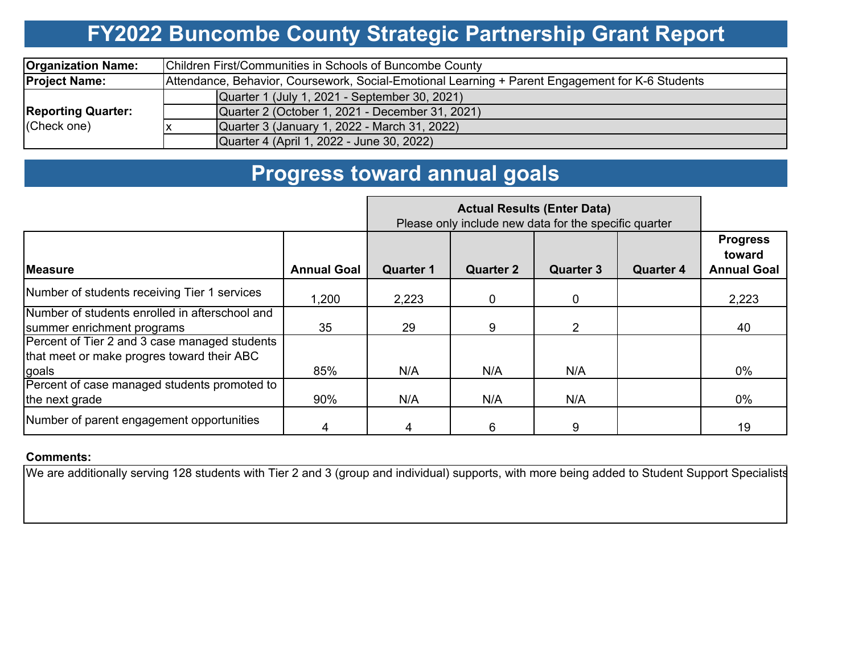## **FY2022 Buncombe County Strategic Partnership Grant Report**

| <b>Organization Name:</b>                | Children First/Communities in Schools of Buncombe County                                         |  |  |  |  |  |  |
|------------------------------------------|--------------------------------------------------------------------------------------------------|--|--|--|--|--|--|
| <b>Project Name:</b>                     | Attendance, Behavior, Coursework, Social-Emotional Learning + Parent Engagement for K-6 Students |  |  |  |  |  |  |
|                                          | Quarter 1 (July 1, 2021 - September 30, 2021)                                                    |  |  |  |  |  |  |
| <b>Reporting Quarter:</b><br>(Check one) | Quarter 2 (October 1, 2021 - December 31, 2021)                                                  |  |  |  |  |  |  |
|                                          | Quarter 3 (January 1, 2022 - March 31, 2022)                                                     |  |  |  |  |  |  |
|                                          | Quarter 4 (April 1, 2022 - June 30, 2022)                                                        |  |  |  |  |  |  |

### **Progress toward annual goals**

|                                                                                                      | Please only include new data for the specific quarter |                  |                  |                  |                  |                                                 |
|------------------------------------------------------------------------------------------------------|-------------------------------------------------------|------------------|------------------|------------------|------------------|-------------------------------------------------|
| <b>IMeasure</b>                                                                                      | <b>Annual Goal</b>                                    | <b>Quarter 1</b> | <b>Quarter 2</b> | <b>Quarter 3</b> | <b>Quarter 4</b> | <b>Progress</b><br>toward<br><b>Annual Goal</b> |
| Number of students receiving Tier 1 services                                                         | .200. ا                                               | 2,223            | 0                | 0                |                  | 2,223                                           |
| Number of students enrolled in afterschool and<br>summer enrichment programs                         | 35                                                    | 29               | 9                | 2                |                  | 40                                              |
| Percent of Tier 2 and 3 case managed students<br>that meet or make progres toward their ABC<br>goals | 85%                                                   | N/A              | N/A              | N/A              |                  | $0\%$                                           |
| Percent of case managed students promoted to<br>the next grade                                       | 90%                                                   | N/A              | N/A              | N/A              |                  | $0\%$                                           |
| Number of parent engagement opportunities                                                            |                                                       | 4                | 6                | 9                |                  | 19                                              |

#### **Comments:**

We are additionally serving 128 students with Tier 2 and 3 (group and individual) supports, with more being added to Student Support Specialists